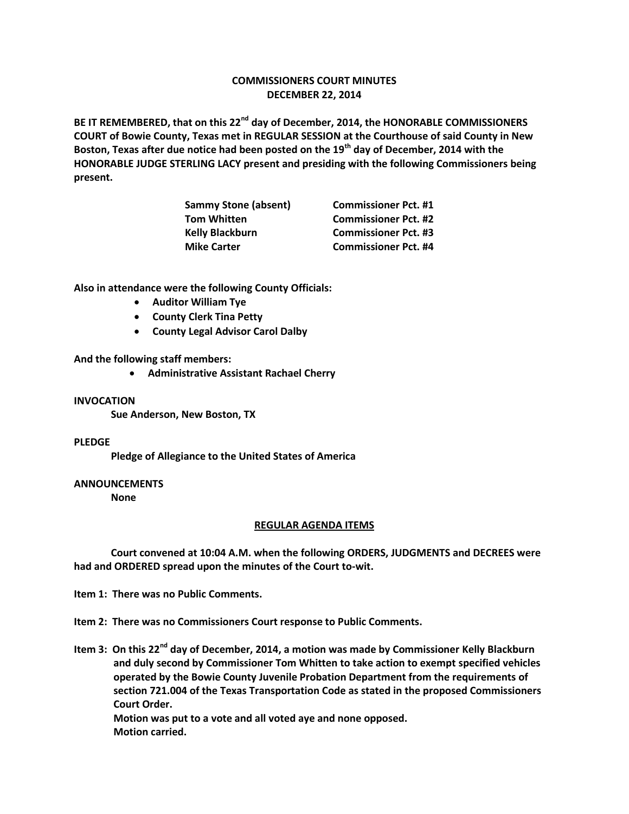# **COMMISSIONERS COURT MINUTES DECEMBER 22, 2014**

**BE IT REMEMBERED, that on this 22nd day of December, 2014, the HONORABLE COMMISSIONERS COURT of Bowie County, Texas met in REGULAR SESSION at the Courthouse of said County in New Boston, Texas after due notice had been posted on the 19th day of December, 2014 with the HONORABLE JUDGE STERLING LACY present and presiding with the following Commissioners being present.**

| <b>Sammy Stone (absent)</b> | <b>Commissioner Pct. #1</b> |
|-----------------------------|-----------------------------|
| <b>Tom Whitten</b>          | <b>Commissioner Pct. #2</b> |
| <b>Kelly Blackburn</b>      | <b>Commissioner Pct. #3</b> |
| <b>Mike Carter</b>          | <b>Commissioner Pct. #4</b> |

**Also in attendance were the following County Officials:**

- **Auditor William Tye**
- **•** County Clerk Tina Petty
- **County Legal Advisor Carol Dalby**

**And the following staff members:**

**Administrative Assistant Rachael Cherry**

## **INVOCATION**

**Sue Anderson, New Boston, TX**

## **PLEDGE**

**Pledge of Allegiance to the United States of America**

## **ANNOUNCEMENTS**

**None**

## **REGULAR AGENDA ITEMS**

**Court convened at 10:04 A.M. when the following ORDERS, JUDGMENTS and DECREES were had and ORDERED spread upon the minutes of the Court to-wit.**

**Item 1: There was no Public Comments.**

- **Item 2: There was no Commissioners Court response to Public Comments.**
- **Item 3: On this 22nd day of December, 2014, a motion was made by Commissioner Kelly Blackburn and duly second by Commissioner Tom Whitten to take action to exempt specified vehicles operated by the Bowie County Juvenile Probation Department from the requirements of section 721.004 of the Texas Transportation Code as stated in the proposed Commissioners Court Order.**

**Motion was put to a vote and all voted aye and none opposed. Motion carried.**